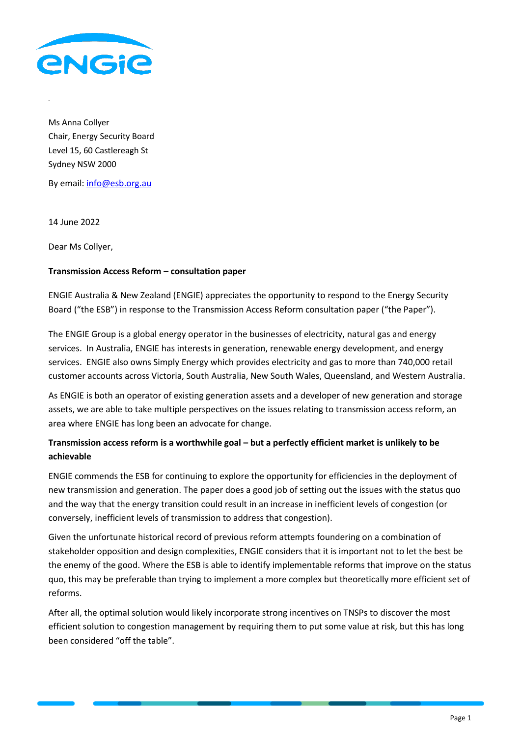

Ms Anna Collyer Chair, Energy Security Board Level 15, 60 Castlereagh St Sydney NSW 2000

By email: [info@esb.org.au](mailto:info@esb.org.au)

14 June 2022

Dear Ms Collyer,

## **Transmission Access Reform – consultation paper**

ENGIE Australia & New Zealand (ENGIE) appreciates the opportunity to respond to the Energy Security Board ("the ESB") in response to the Transmission Access Reform consultation paper ("the Paper").

The ENGIE Group is a global energy operator in the businesses of electricity, natural gas and energy services. In Australia, ENGIE has interests in generation, renewable energy development, and energy services. ENGIE also owns Simply Energy which provides electricity and gas to more than 740,000 retail customer accounts across Victoria, South Australia, New South Wales, Queensland, and Western Australia.

As ENGIE is both an operator of existing generation assets and a developer of new generation and storage assets, we are able to take multiple perspectives on the issues relating to transmission access reform, an area where ENGIE has long been an advocate for change.

# **Transmission access reform is a worthwhile goal – but a perfectly efficient market is unlikely to be achievable**

ENGIE commends the ESB for continuing to explore the opportunity for efficiencies in the deployment of new transmission and generation. The paper does a good job of setting out the issues with the status quo and the way that the energy transition could result in an increase in inefficient levels of congestion (or conversely, inefficient levels of transmission to address that congestion).

Given the unfortunate historical record of previous reform attempts foundering on a combination of stakeholder opposition and design complexities, ENGIE considers that it is important not to let the best be the enemy of the good. Where the ESB is able to identify implementable reforms that improve on the status quo, this may be preferable than trying to implement a more complex but theoretically more efficient set of reforms.

After all, the optimal solution would likely incorporate strong incentives on TNSPs to discover the most efficient solution to congestion management by requiring them to put some value at risk, but this has long been considered "off the table".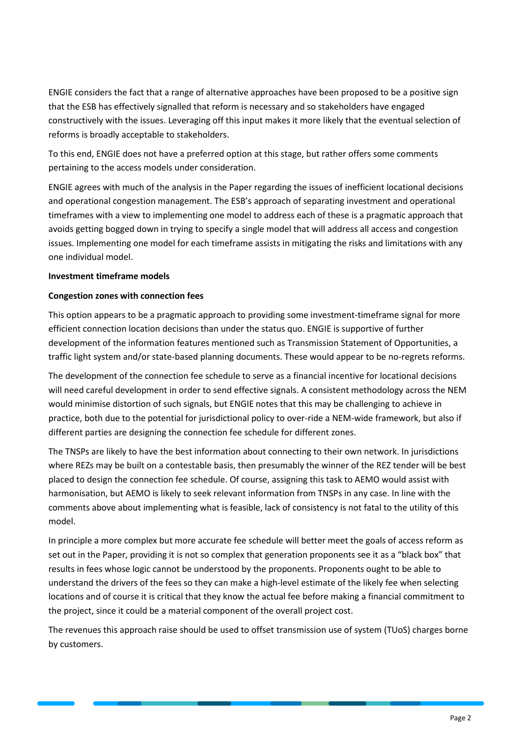ENGIE considers the fact that a range of alternative approaches have been proposed to be a positive sign that the ESB has effectively signalled that reform is necessary and so stakeholders have engaged constructively with the issues. Leveraging off this input makes it more likely that the eventual selection of reforms is broadly acceptable to stakeholders.

To this end, ENGIE does not have a preferred option at this stage, but rather offers some comments pertaining to the access models under consideration.

ENGIE agrees with much of the analysis in the Paper regarding the issues of inefficient locational decisions and operational congestion management. The ESB's approach of separating investment and operational timeframes with a view to implementing one model to address each of these is a pragmatic approach that avoids getting bogged down in trying to specify a single model that will address all access and congestion issues. Implementing one model for each timeframe assists in mitigating the risks and limitations with any one individual model.

#### **Investment timeframe models**

## **Congestion zones with connection fees**

This option appears to be a pragmatic approach to providing some investment-timeframe signal for more efficient connection location decisions than under the status quo. ENGIE is supportive of further development of the information features mentioned such as Transmission Statement of Opportunities, a traffic light system and/or state-based planning documents. These would appear to be no-regrets reforms.

The development of the connection fee schedule to serve as a financial incentive for locational decisions will need careful development in order to send effective signals. A consistent methodology across the NEM would minimise distortion of such signals, but ENGIE notes that this may be challenging to achieve in practice, both due to the potential for jurisdictional policy to over-ride a NEM-wide framework, but also if different parties are designing the connection fee schedule for different zones.

The TNSPs are likely to have the best information about connecting to their own network. In jurisdictions where REZs may be built on a contestable basis, then presumably the winner of the REZ tender will be best placed to design the connection fee schedule. Of course, assigning this task to AEMO would assist with harmonisation, but AEMO is likely to seek relevant information from TNSPs in any case. In line with the comments above about implementing what is feasible, lack of consistency is not fatal to the utility of this model.

In principle a more complex but more accurate fee schedule will better meet the goals of access reform as set out in the Paper, providing it is not so complex that generation proponents see it as a "black box" that results in fees whose logic cannot be understood by the proponents. Proponents ought to be able to understand the drivers of the fees so they can make a high-level estimate of the likely fee when selecting locations and of course it is critical that they know the actual fee before making a financial commitment to the project, since it could be a material component of the overall project cost.

The revenues this approach raise should be used to offset transmission use of system (TUoS) charges borne by customers.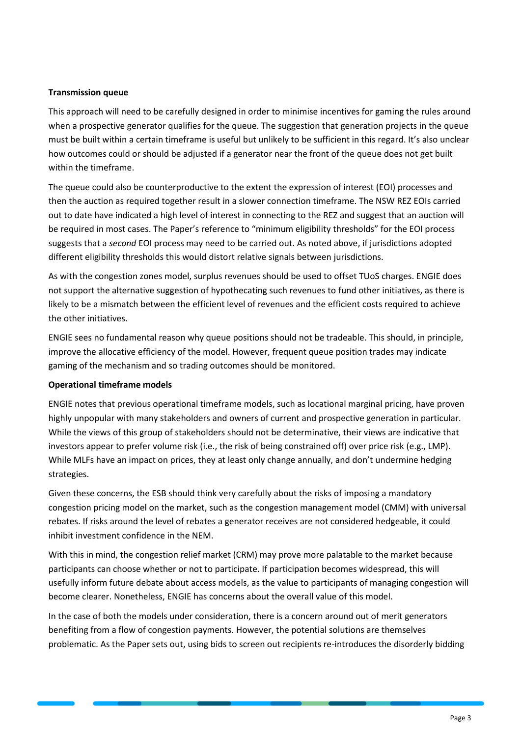#### **Transmission queue**

This approach will need to be carefully designed in order to minimise incentives for gaming the rules around when a prospective generator qualifies for the queue. The suggestion that generation projects in the queue must be built within a certain timeframe is useful but unlikely to be sufficient in this regard. It's also unclear how outcomes could or should be adjusted if a generator near the front of the queue does not get built within the timeframe.

The queue could also be counterproductive to the extent the expression of interest (EOI) processes and then the auction as required together result in a slower connection timeframe. The NSW REZ EOIs carried out to date have indicated a high level of interest in connecting to the REZ and suggest that an auction will be required in most cases. The Paper's reference to "minimum eligibility thresholds" for the EOI process suggests that a *second* EOI process may need to be carried out. As noted above, if jurisdictions adopted different eligibility thresholds this would distort relative signals between jurisdictions.

As with the congestion zones model, surplus revenues should be used to offset TUoS charges. ENGIE does not support the alternative suggestion of hypothecating such revenues to fund other initiatives, as there is likely to be a mismatch between the efficient level of revenues and the efficient costs required to achieve the other initiatives.

ENGIE sees no fundamental reason why queue positions should not be tradeable. This should, in principle, improve the allocative efficiency of the model. However, frequent queue position trades may indicate gaming of the mechanism and so trading outcomes should be monitored.

#### **Operational timeframe models**

ENGIE notes that previous operational timeframe models, such as locational marginal pricing, have proven highly unpopular with many stakeholders and owners of current and prospective generation in particular. While the views of this group of stakeholders should not be determinative, their views are indicative that investors appear to prefer volume risk (i.e., the risk of being constrained off) over price risk (e.g., LMP). While MLFs have an impact on prices, they at least only change annually, and don't undermine hedging strategies.

Given these concerns, the ESB should think very carefully about the risks of imposing a mandatory congestion pricing model on the market, such as the congestion management model (CMM) with universal rebates. If risks around the level of rebates a generator receives are not considered hedgeable, it could inhibit investment confidence in the NEM.

With this in mind, the congestion relief market (CRM) may prove more palatable to the market because participants can choose whether or not to participate. If participation becomes widespread, this will usefully inform future debate about access models, as the value to participants of managing congestion will become clearer. Nonetheless, ENGIE has concerns about the overall value of this model.

In the case of both the models under consideration, there is a concern around out of merit generators benefiting from a flow of congestion payments. However, the potential solutions are themselves problematic. As the Paper sets out, using bids to screen out recipients re-introduces the disorderly bidding